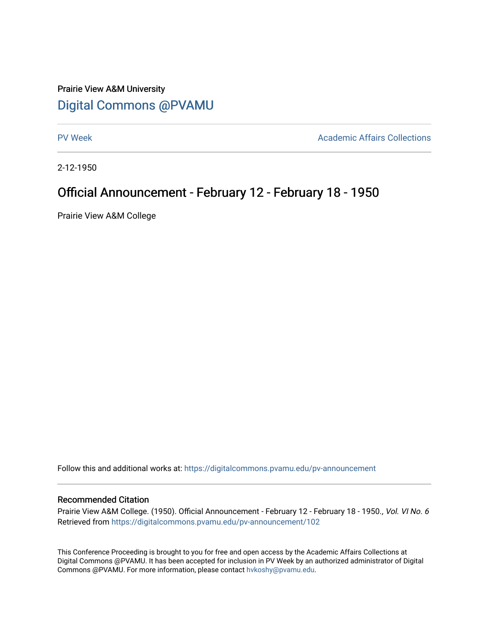# Prairie View A&M University [Digital Commons @PVAMU](https://digitalcommons.pvamu.edu/)

[PV Week](https://digitalcommons.pvamu.edu/pv-announcement) **Academic Affairs Collections** 

2-12-1950

# Official Announcement - February 12 - February 18 - 1950

Prairie View A&M College

Follow this and additional works at: [https://digitalcommons.pvamu.edu/pv-announcement](https://digitalcommons.pvamu.edu/pv-announcement?utm_source=digitalcommons.pvamu.edu%2Fpv-announcement%2F102&utm_medium=PDF&utm_campaign=PDFCoverPages) 

### Recommended Citation

Prairie View A&M College. (1950). Official Announcement - February 12 - February 18 - 1950., Vol. VI No. 6 Retrieved from [https://digitalcommons.pvamu.edu/pv-announcement/102](https://digitalcommons.pvamu.edu/pv-announcement/102?utm_source=digitalcommons.pvamu.edu%2Fpv-announcement%2F102&utm_medium=PDF&utm_campaign=PDFCoverPages) 

This Conference Proceeding is brought to you for free and open access by the Academic Affairs Collections at Digital Commons @PVAMU. It has been accepted for inclusion in PV Week by an authorized administrator of Digital Commons @PVAMU. For more information, please contact [hvkoshy@pvamu.edu.](mailto:hvkoshy@pvamu.edu)